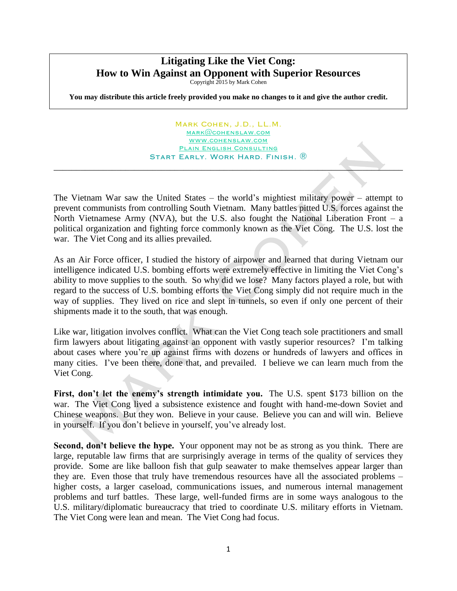## **Litigating Like the Viet Cong: How to Win Against an Opponent with Superior Resources**

Copyright 2015 by Mark Cohen

**You may distribute this article freely provided you make no changes to it and give the author credit.**

Mark Cohen, J.D., LL.M. [mark@cohenslaw.com](mailto:mark@cohenslaw.com) [www.cohenslaw.com](http://www.cohenslaw.com/) PLAIN ENGLISH CONSULTING Start Early. Work Hard. Finish. ®

 $\mathcal{L} = \mathcal{L} \mathcal{L} = \mathcal{L} \mathcal{L}$ 

The Vietnam War saw the United States – the world's mightiest military power – attempt to prevent communists from controlling South Vietnam. Many battles pitted U.S. forces against the North Vietnamese Army (NVA), but the U.S. also fought the National Liberation Front – a political organization and fighting force commonly known as the Viet Cong. The U.S. lost the war. The Viet Cong and its allies prevailed.

As an Air Force officer, I studied the history of airpower and learned that during Vietnam our intelligence indicated U.S. bombing efforts were extremely effective in limiting the Viet Cong's ability to move supplies to the south. So why did we lose? Many factors played a role, but with regard to the success of U.S. bombing efforts the Viet Cong simply did not require much in the way of supplies. They lived on rice and slept in tunnels, so even if only one percent of their shipments made it to the south, that was enough.

Like war, litigation involves conflict. What can the Viet Cong teach sole practitioners and small firm lawyers about litigating against an opponent with vastly superior resources? I'm talking about cases where you're up against firms with dozens or hundreds of lawyers and offices in many cities. I've been there, done that, and prevailed. I believe we can learn much from the Viet Cong.

**First, don't let the enemy's strength intimidate you.** The U.S. spent \$173 billion on the war. The Viet Cong lived a subsistence existence and fought with hand-me-down Soviet and Chinese weapons. But they won. Believe in your cause. Believe you can and will win. Believe in yourself. If you don't believe in yourself, you've already lost.

**Second, don't believe the hype.** Your opponent may not be as strong as you think. There are large, reputable law firms that are surprisingly average in terms of the quality of services they provide. Some are like balloon fish that gulp seawater to make themselves appear larger than they are. Even those that truly have tremendous resources have all the associated problems – higher costs, a larger caseload, communications issues, and numerous internal management problems and turf battles. These large, well-funded firms are in some ways analogous to the U.S. military/diplomatic bureaucracy that tried to coordinate U.S. military efforts in Vietnam. The Viet Cong were lean and mean. The Viet Cong had focus.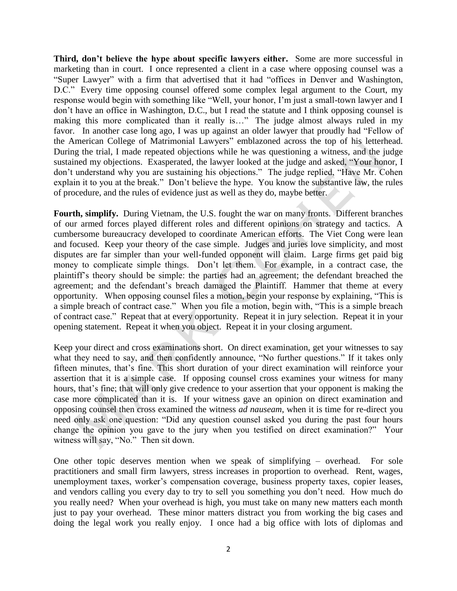**Third, don't believe the hype about specific lawyers either.** Some are more successful in marketing than in court. I once represented a client in a case where opposing counsel was a "Super Lawyer" with a firm that advertised that it had "offices in Denver and Washington, D.C." Every time opposing counsel offered some complex legal argument to the Court, my response would begin with something like "Well, your honor, I'm just a small-town lawyer and I don't have an office in Washington, D.C., but I read the statute and I think opposing counsel is making this more complicated than it really is…" The judge almost always ruled in my favor. In another case long ago, I was up against an older lawyer that proudly had "Fellow of the American College of Matrimonial Lawyers" emblazoned across the top of his letterhead. During the trial, I made repeated objections while he was questioning a witness, and the judge sustained my objections. Exasperated, the lawyer looked at the judge and asked, "Your honor, I don't understand why you are sustaining his objections." The judge replied, "Have Mr. Cohen explain it to you at the break." Don't believe the hype. You know the substantive law, the rules of procedure, and the rules of evidence just as well as they do, maybe better.

**Fourth, simplify.** During Vietnam, the U.S. fought the war on many fronts. Different branches of our armed forces played different roles and different opinions on strategy and tactics. A cumbersome bureaucracy developed to coordinate American efforts. The Viet Cong were lean and focused. Keep your theory of the case simple. Judges and juries love simplicity, and most disputes are far simpler than your well-funded opponent will claim. Large firms get paid big money to complicate simple things. Don't let them. For example, in a contract case, the plaintiff's theory should be simple: the parties had an agreement; the defendant breached the agreement; and the defendant's breach damaged the Plaintiff. Hammer that theme at every opportunity. When opposing counsel files a motion, begin your response by explaining, "This is a simple breach of contract case." When you file a motion, begin with, "This is a simple breach of contract case." Repeat that at every opportunity. Repeat it in jury selection. Repeat it in your opening statement. Repeat it when you object. Repeat it in your closing argument.

Keep your direct and cross examinations short. On direct examination, get your witnesses to say what they need to say, and then confidently announce, "No further questions." If it takes only fifteen minutes, that's fine. This short duration of your direct examination will reinforce your assertion that it is a simple case. If opposing counsel cross examines your witness for many hours, that's fine; that will only give credence to your assertion that your opponent is making the case more complicated than it is. If your witness gave an opinion on direct examination and opposing counsel then cross examined the witness *ad nauseam*, when it is time for re-direct you need only ask one question: "Did any question counsel asked you during the past four hours change the opinion you gave to the jury when you testified on direct examination?" Your witness will say, "No." Then sit down.

One other topic deserves mention when we speak of simplifying – overhead. For sole practitioners and small firm lawyers, stress increases in proportion to overhead. Rent, wages, unemployment taxes, worker's compensation coverage, business property taxes, copier leases, and vendors calling you every day to try to sell you something you don't need. How much do you really need? When your overhead is high, you must take on many new matters each month just to pay your overhead. These minor matters distract you from working the big cases and doing the legal work you really enjoy. I once had a big office with lots of diplomas and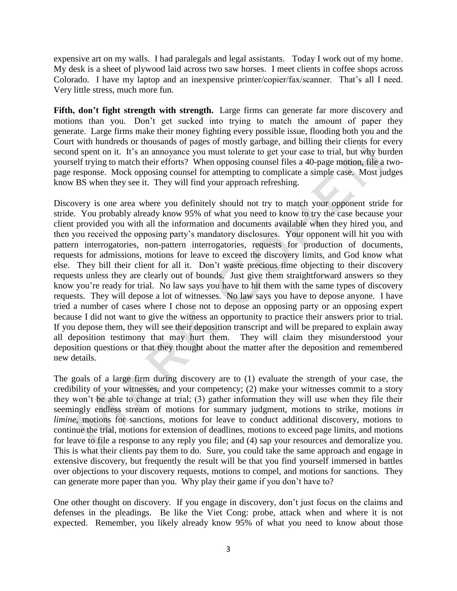expensive art on my walls. I had paralegals and legal assistants. Today I work out of my home. My desk is a sheet of plywood laid across two saw horses. I meet clients in coffee shops across Colorado. I have my laptop and an inexpensive printer/copier/fax/scanner. That's all I need. Very little stress, much more fun.

**Fifth, don't fight strength with strength.** Large firms can generate far more discovery and motions than you. Don't get sucked into trying to match the amount of paper they generate. Large firms make their money fighting every possible issue, flooding both you and the Court with hundreds or thousands of pages of mostly garbage, and billing their clients for every second spent on it. It's an annoyance you must tolerate to get your case to trial, but why burden yourself trying to match their efforts? When opposing counsel files a 40-page motion, file a twopage response. Mock opposing counsel for attempting to complicate a simple case. Most judges know BS when they see it. They will find your approach refreshing.

Discovery is one area where you definitely should not try to match your opponent stride for stride. You probably already know 95% of what you need to know to try the case because your client provided you with all the information and documents available when they hired you, and then you received the opposing party's mandatory disclosures. Your opponent will hit you with pattern interrogatories, non-pattern interrogatories, requests for production of documents, requests for admissions, motions for leave to exceed the discovery limits, and God know what else. They bill their client for all it. Don't waste precious time objecting to their discovery requests unless they are clearly out of bounds. Just give them straightforward answers so they know you're ready for trial. No law says you have to hit them with the same types of discovery requests. They will depose a lot of witnesses. No law says you have to depose anyone. I have tried a number of cases where I chose not to depose an opposing party or an opposing expert because I did not want to give the witness an opportunity to practice their answers prior to trial. If you depose them, they will see their deposition transcript and will be prepared to explain away all deposition testimony that may hurt them. They will claim they misunderstood your deposition questions or that they thought about the matter after the deposition and remembered new details.

The goals of a large firm during discovery are to (1) evaluate the strength of your case, the credibility of your witnesses, and your competency; (2) make your witnesses commit to a story they won't be able to change at trial; (3) gather information they will use when they file their seemingly endless stream of motions for summary judgment, motions to strike, motions *in limine*, motions for sanctions, motions for leave to conduct additional discovery, motions to continue the trial, motions for extension of deadlines, motions to exceed page limits, and motions for leave to file a response to any reply you file; and (4) sap your resources and demoralize you. This is what their clients pay them to do. Sure, you could take the same approach and engage in extensive discovery, but frequently the result will be that you find yourself immersed in battles over objections to your discovery requests, motions to compel, and motions for sanctions. They can generate more paper than you. Why play their game if you don't have to?

One other thought on discovery. If you engage in discovery, don't just focus on the claims and defenses in the pleadings. Be like the Viet Cong: probe, attack when and where it is not expected. Remember, you likely already know 95% of what you need to know about those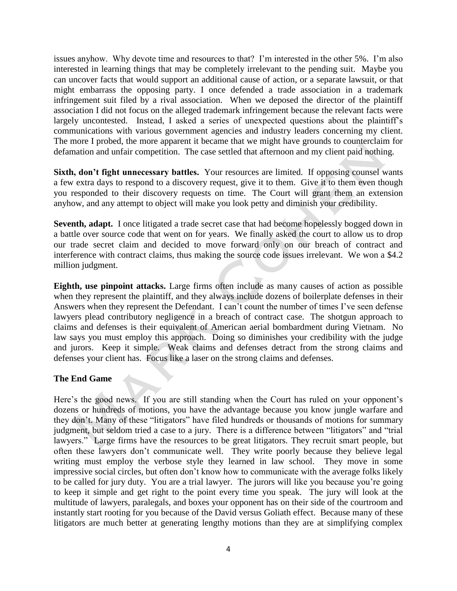issues anyhow. Why devote time and resources to that? I'm interested in the other 5%. I'm also interested in learning things that may be completely irrelevant to the pending suit. Maybe you can uncover facts that would support an additional cause of action, or a separate lawsuit, or that might embarrass the opposing party. I once defended a trade association in a trademark infringement suit filed by a rival association. When we deposed the director of the plaintiff association I did not focus on the alleged trademark infringement because the relevant facts were largely uncontested. Instead, I asked a series of unexpected questions about the plaintiff's communications with various government agencies and industry leaders concerning my client. The more I probed, the more apparent it became that we might have grounds to counterclaim for defamation and unfair competition. The case settled that afternoon and my client paid nothing.

Sixth, don't fight unnecessary battles. Your resources are limited. If opposing counsel wants a few extra days to respond to a discovery request, give it to them. Give it to them even though you responded to their discovery requests on time. The Court will grant them an extension anyhow, and any attempt to object will make you look petty and diminish your credibility.

**Seventh, adapt.** I once litigated a trade secret case that had become hopelessly bogged down in a battle over source code that went on for years. We finally asked the court to allow us to drop our trade secret claim and decided to move forward only on our breach of contract and interference with contract claims, thus making the source code issues irrelevant. We won a \$4.2 million judgment.

**Eighth, use pinpoint attacks.** Large firms often include as many causes of action as possible when they represent the plaintiff, and they always include dozens of boilerplate defenses in their Answers when they represent the Defendant. I can't count the number of times I've seen defense lawyers plead contributory negligence in a breach of contract case. The shotgun approach to claims and defenses is their equivalent of American aerial bombardment during Vietnam. No law says you must employ this approach. Doing so diminishes your credibility with the judge and jurors. Keep it simple. Weak claims and defenses detract from the strong claims and defenses your client has. Focus like a laser on the strong claims and defenses.

## **The End Game**

Here's the good news. If you are still standing when the Court has ruled on your opponent's dozens or hundreds of motions, you have the advantage because you know jungle warfare and they don't. Many of these "litigators" have filed hundreds or thousands of motions for summary judgment, but seldom tried a case to a jury. There is a difference between "litigators" and "trial lawyers." Large firms have the resources to be great litigators. They recruit smart people, but often these lawyers don't communicate well. They write poorly because they believe legal writing must employ the verbose style they learned in law school. They move in some impressive social circles, but often don't know how to communicate with the average folks likely to be called for jury duty. You are a trial lawyer. The jurors will like you because you're going to keep it simple and get right to the point every time you speak. The jury will look at the multitude of lawyers, paralegals, and boxes your opponent has on their side of the courtroom and instantly start rooting for you because of the David versus Goliath effect. Because many of these litigators are much better at generating lengthy motions than they are at simplifying complex